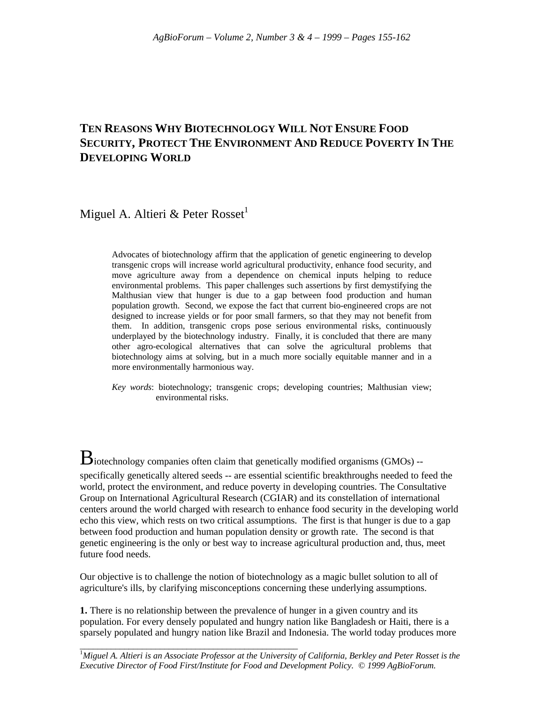## **TEN REASONS WHY BIOTECHNOLOGY WILL NOT ENSURE FOOD SECURITY, PROTECT THE ENVIRONMENT AND REDUCE POVERTY IN THE DEVELOPING WORLD**

## Miguel A. Altieri & Peter Rosset<sup>1</sup>

Advocates of biotechnology affirm that the application of genetic engineering to develop transgenic crops will increase world agricultural productivity, enhance food security, and move agriculture away from a dependence on chemical inputs helping to reduce environmental problems. This paper challenges such assertions by first demystifying the Malthusian view that hunger is due to a gap between food production and human population growth. Second, we expose the fact that current bio-engineered crops are not designed to increase yields or for poor small farmers, so that they may not benefit from them. In addition, transgenic crops pose serious environmental risks, continuously underplayed by the biotechnology industry. Finally, it is concluded that there are many other agro-ecological alternatives that can solve the agricultural problems that biotechnology aims at solving, but in a much more socially equitable manner and in a more environmentally harmonious way.

*Key words*: biotechnology; transgenic crops; developing countries; Malthusian view; environmental risks.

 $\bf B$ iotechnology companies often claim that genetically modified organisms (GMOs) -specifically genetically altered seeds -- are essential scientific breakthroughs needed to feed the world, protect the environment, and reduce poverty in developing countries. The Consultative Group on International Agricultural Research (CGIAR) and its constellation of international centers around the world charged with research to enhance food security in the developing world echo this view, which rests on two critical assumptions. The first is that hunger is due to a gap between food production and human population density or growth rate. The second is that genetic engineering is the only or best way to increase agricultural production and, thus, meet future food needs.

Our objective is to challenge the notion of biotechnology as a magic bullet solution to all of agriculture's ills, by clarifying misconceptions concerning these underlying assumptions.

\_\_\_\_\_\_\_\_\_\_\_\_\_\_\_\_\_\_\_\_\_\_\_\_\_\_\_\_\_\_\_\_\_\_\_\_\_\_\_\_\_\_\_\_\_\_\_\_\_

**1.** There is no relationship between the prevalence of hunger in a given country and its population. For every densely populated and hungry nation like Bangladesh or Haiti, there is a sparsely populated and hungry nation like Brazil and Indonesia. The world today produces more

1 *Miguel A. Altieri is an Associate Professor at the University of California, Berkley and Peter Rosset is the Executive Director of Food First/Institute for Food and Development Policy.* © *1999 AgBioForum.*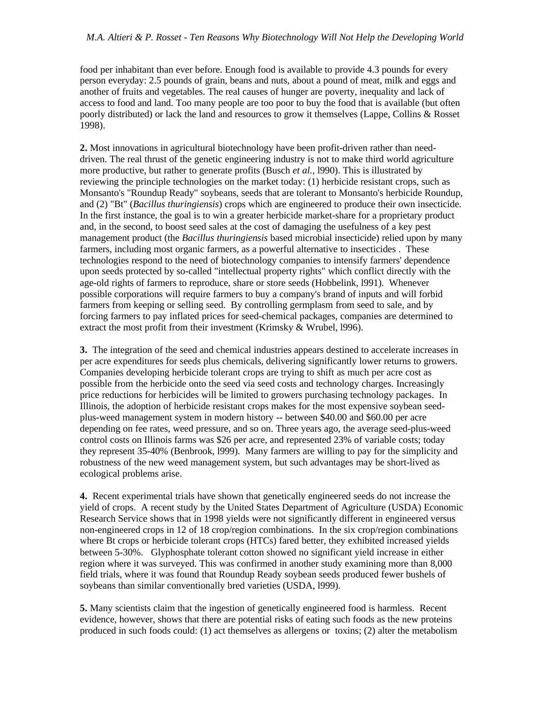food per inhabitant than ever before. Enough food is available to provide 4.3 pounds for every person everyday: 2.5 pounds of grain, beans and nuts, about a pound of meat, milk and eggs and another of fruits and vegetables. The real causes of hunger are poverty, inequality and lack of access to food and land. Too many people are too poor to buy the food that is available (but often poorly distributed) or lack the land and resources to grow it themselves (Lappe, Collins & Rosset 1998).

**2.** Most innovations in agricultural biotechnology have been profit-driven rather than needdriven. The real thrust of the genetic engineering industry is not to make third world agriculture more productive, but rather to generate profits (Busch *et al.*, l990). This is illustrated by reviewing the principle technologies on the market today: (1) herbicide resistant crops, such as Monsanto's "Roundup Ready" soybeans, seeds that are tolerant to Monsanto's herbicide Roundup, and (2) "Bt" (*Bacillus thuringiensis*) crops which are engineered to produce their own insecticide. In the first instance, the goal is to win a greater herbicide market-share for a proprietary product and, in the second, to boost seed sales at the cost of damaging the usefulness of a key pest management product (the *Bacillus thuringiensis* based microbial insecticide) relied upon by many farmers, including most organic farmers, as a powerful alternative to insecticides . These technologies respond to the need of biotechnology companies to intensify farmers' dependence upon seeds protected by so-called "intellectual property rights" which conflict directly with the age-old rights of farmers to reproduce, share or store seeds (Hobbelink, l991). Whenever possible corporations will require farmers to buy a company's brand of inputs and will forbid farmers from keeping or selling seed. By controlling germplasm from seed to sale, and by forcing farmers to pay inflated prices for seed-chemical packages, companies are determined to extract the most profit from their investment (Krimsky & Wrubel, l996).

**3.** The integration of the seed and chemical industries appears destined to accelerate increases in per acre expenditures for seeds plus chemicals, delivering significantly lower returns to growers. Companies developing herbicide tolerant crops are trying to shift as much per acre cost as possible from the herbicide onto the seed via seed costs and technology charges. Increasingly price reductions for herbicides will be limited to growers purchasing technology packages. In Illinois, the adoption of herbicide resistant crops makes for the most expensive soybean seedplus-weed management system in modern history -- between \$40.00 and \$60.00 per acre depending on fee rates, weed pressure, and so on. Three years ago, the average seed-plus-weed control costs on Illinois farms was \$26 per acre, and represented 23% of variable costs; today they represent 35-40% (Benbrook, l999). Many farmers are willing to pay for the simplicity and robustness of the new weed management system, but such advantages may be short-lived as ecological problems arise.

**4.** Recent experimental trials have shown that genetically engineered seeds do not increase the yield of crops. A recent study by the United States Department of Agriculture (USDA) Economic Research Service shows that in 1998 yields were not significantly different in engineered versus non-engineered crops in 12 of 18 crop/region combinations. In the six crop/region combinations where Bt crops or herbicide tolerant crops (HTCs) fared better, they exhibited increased yields between 5-30%. Glyphosphate tolerant cotton showed no significant yield increase in either region where it was surveyed. This was confirmed in another study examining more than 8,000 field trials, where it was found that Roundup Ready soybean seeds produced fewer bushels of soybeans than similar conventionally bred varieties (USDA, l999).

**5.** Many scientists claim that the ingestion of genetically engineered food is harmless. Recent evidence, however, shows that there are potential risks of eating such foods as the new proteins produced in such foods could: (1) act themselves as allergens or toxins; (2) alter the metabolism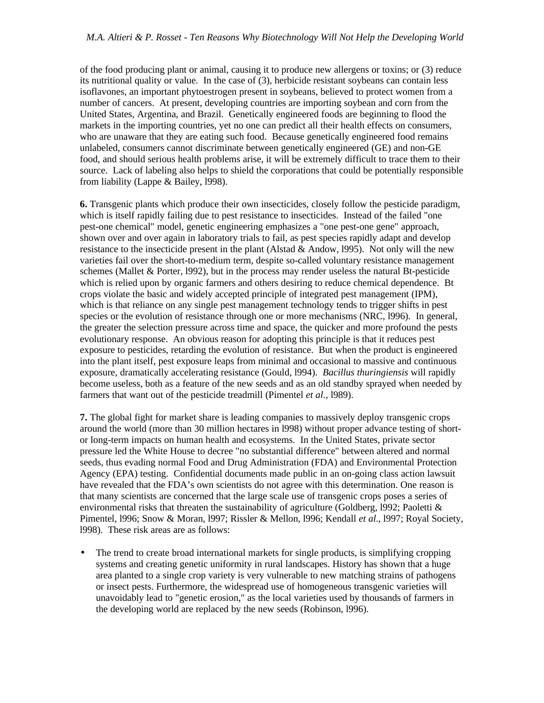of the food producing plant or animal, causing it to produce new allergens or toxins; or (3) reduce its nutritional quality or value. In the case of (3), herbicide resistant soybeans can contain less isoflavones, an important phytoestrogen present in soybeans, believed to protect women from a number of cancers. At present, developing countries are importing soybean and corn from the United States, Argentina, and Brazil. Genetically engineered foods are beginning to flood the markets in the importing countries, yet no one can predict all their health effects on consumers, who are unaware that they are eating such food. Because genetically engineered food remains unlabeled, consumers cannot discriminate between genetically engineered (GE) and non-GE food, and should serious health problems arise, it will be extremely difficult to trace them to their source. Lack of labeling also helps to shield the corporations that could be potentially responsible from liability (Lappe & Bailey, l998).

**6.** Transgenic plants which produce their own insecticides, closely follow the pesticide paradigm, which is itself rapidly failing due to pest resistance to insecticides. Instead of the failed "one pest-one chemical" model, genetic engineering emphasizes a "one pest-one gene" approach, shown over and over again in laboratory trials to fail, as pest species rapidly adapt and develop resistance to the insecticide present in the plant (Alstad  $&$  Andow, 1995). Not only will the new varieties fail over the short-to-medium term, despite so-called voluntary resistance management schemes (Mallet & Porter, l992), but in the process may render useless the natural Bt-pesticide which is relied upon by organic farmers and others desiring to reduce chemical dependence. Bt crops violate the basic and widely accepted principle of integrated pest management (IPM), which is that reliance on any single pest management technology tends to trigger shifts in pest species or the evolution of resistance through one or more mechanisms (NRC, 1996). In general, the greater the selection pressure across time and space, the quicker and more profound the pests evolutionary response. An obvious reason for adopting this principle is that it reduces pest exposure to pesticides, retarding the evolution of resistance. But when the product is engineered into the plant itself, pest exposure leaps from minimal and occasional to massive and continuous exposure, dramatically accelerating resistance (Gould, l994). *Bacillus thuringiensis* will rapidly become useless, both as a feature of the new seeds and as an old standby sprayed when needed by farmers that want out of the pesticide treadmill (Pimentel *et al.*, l989).

**7.** The global fight for market share is leading companies to massively deploy transgenic crops around the world (more than 30 million hectares in l998) without proper advance testing of shortor long-term impacts on human health and ecosystems. In the United States, private sector pressure led the White House to decree "no substantial difference" between altered and normal seeds, thus evading normal Food and Drug Administration (FDA) and Environmental Protection Agency (EPA) testing. Confidential documents made public in an on-going class action lawsuit have revealed that the FDA's own scientists do not agree with this determination. One reason is that many scientists are concerned that the large scale use of transgenic crops poses a series of environmental risks that threaten the sustainability of agriculture (Goldberg, 1992; Paoletti  $\&$ Pimentel, l996; Snow & Moran, l997; Rissler & Mellon, l996; Kendall *et al*., l997; Royal Society, l998). These risk areas are as follows:

• The trend to create broad international markets for single products, is simplifying cropping systems and creating genetic uniformity in rural landscapes. History has shown that a huge area planted to a single crop variety is very vulnerable to new matching strains of pathogens or insect pests. Furthermore, the widespread use of homogeneous transgenic varieties will unavoidably lead to "genetic erosion," as the local varieties used by thousands of farmers in the developing world are replaced by the new seeds (Robinson, l996).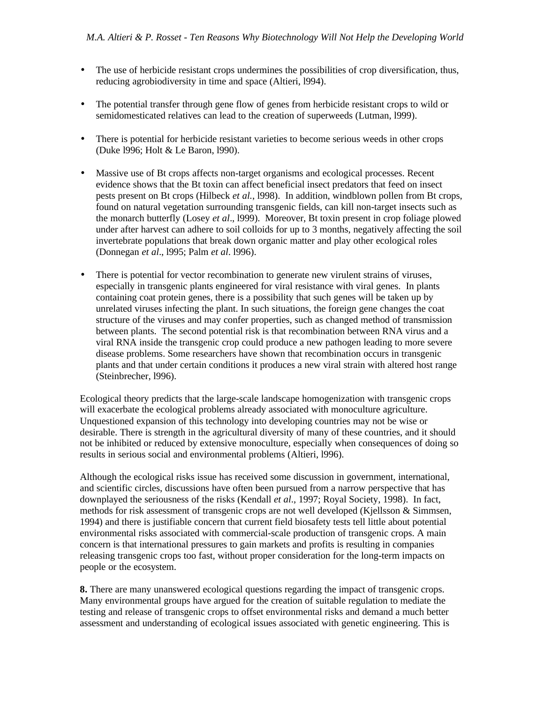- The use of herbicide resistant crops undermines the possibilities of crop diversification, thus, reducing agrobiodiversity in time and space (Altieri, l994).
- The potential transfer through gene flow of genes from herbicide resistant crops to wild or semidomesticated relatives can lead to the creation of superweeds (Lutman, l999).
- There is potential for herbicide resistant varieties to become serious weeds in other crops (Duke l996; Holt & Le Baron, l990).
- Massive use of Bt crops affects non-target organisms and ecological processes. Recent evidence shows that the Bt toxin can affect beneficial insect predators that feed on insect pests present on Bt crops (Hilbeck *et al.*, l998). In addition, windblown pollen from Bt crops, found on natural vegetation surrounding transgenic fields, can kill non-target insects such as the monarch butterfly (Losey *et al*., l999). Moreover, Bt toxin present in crop foliage plowed under after harvest can adhere to soil colloids for up to 3 months, negatively affecting the soil invertebrate populations that break down organic matter and play other ecological roles (Donnegan *et al*., l995; Palm *et al*. l996).
- There is potential for vector recombination to generate new virulent strains of viruses, especially in transgenic plants engineered for viral resistance with viral genes. In plants containing coat protein genes, there is a possibility that such genes will be taken up by unrelated viruses infecting the plant. In such situations, the foreign gene changes the coat structure of the viruses and may confer properties, such as changed method of transmission between plants. The second potential risk is that recombination between RNA virus and a viral RNA inside the transgenic crop could produce a new pathogen leading to more severe disease problems. Some researchers have shown that recombination occurs in transgenic plants and that under certain conditions it produces a new viral strain with altered host range (Steinbrecher, l996).

Ecological theory predicts that the large-scale landscape homogenization with transgenic crops will exacerbate the ecological problems already associated with monoculture agriculture. Unquestioned expansion of this technology into developing countries may not be wise or desirable. There is strength in the agricultural diversity of many of these countries, and it should not be inhibited or reduced by extensive monoculture, especially when consequences of doing so results in serious social and environmental problems (Altieri, l996).

Although the ecological risks issue has received some discussion in government, international, and scientific circles, discussions have often been pursued from a narrow perspective that has downplayed the seriousness of the risks (Kendall *et al*., 1997; Royal Society, 1998). In fact, methods for risk assessment of transgenic crops are not well developed (Kjellsson & Simmsen, 1994) and there is justifiable concern that current field biosafety tests tell little about potential environmental risks associated with commercial-scale production of transgenic crops. A main concern is that international pressures to gain markets and profits is resulting in companies releasing transgenic crops too fast, without proper consideration for the long-term impacts on people or the ecosystem.

**8.** There are many unanswered ecological questions regarding the impact of transgenic crops. Many environmental groups have argued for the creation of suitable regulation to mediate the testing and release of transgenic crops to offset environmental risks and demand a much better assessment and understanding of ecological issues associated with genetic engineering. This is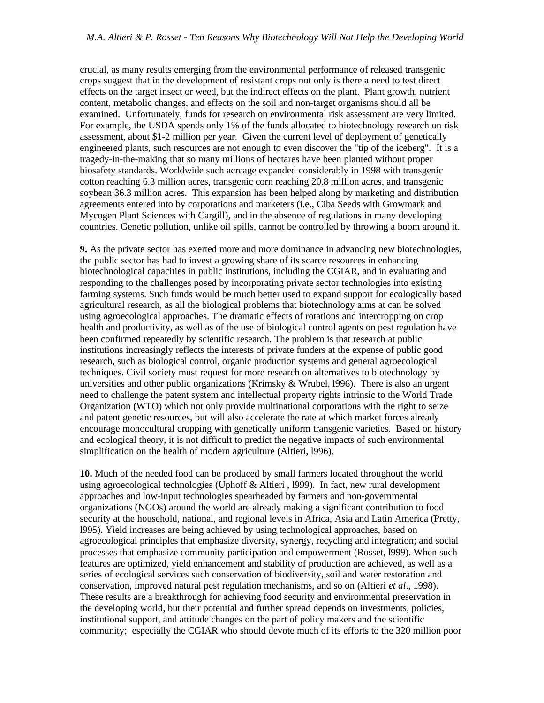crucial, as many results emerging from the environmental performance of released transgenic crops suggest that in the development of resistant crops not only is there a need to test direct effects on the target insect or weed, but the indirect effects on the plant. Plant growth, nutrient content, metabolic changes, and effects on the soil and non-target organisms should all be examined. Unfortunately, funds for research on environmental risk assessment are very limited. For example, the USDA spends only 1% of the funds allocated to biotechnology research on risk assessment, about \$1-2 million per year. Given the current level of deployment of genetically engineered plants, such resources are not enough to even discover the "tip of the iceberg". It is a tragedy-in-the-making that so many millions of hectares have been planted without proper biosafety standards. Worldwide such acreage expanded considerably in 1998 with transgenic cotton reaching 6.3 million acres, transgenic corn reaching 20.8 million acres, and transgenic soybean 36.3 million acres. This expansion has been helped along by marketing and distribution agreements entered into by corporations and marketers (i.e., Ciba Seeds with Growmark and Mycogen Plant Sciences with Cargill), and in the absence of regulations in many developing countries. Genetic pollution, unlike oil spills, cannot be controlled by throwing a boom around it.

**9.** As the private sector has exerted more and more dominance in advancing new biotechnologies, the public sector has had to invest a growing share of its scarce resources in enhancing biotechnological capacities in public institutions, including the CGIAR, and in evaluating and responding to the challenges posed by incorporating private sector technologies into existing farming systems. Such funds would be much better used to expand support for ecologically based agricultural research, as all the biological problems that biotechnology aims at can be solved using agroecological approaches. The dramatic effects of rotations and intercropping on crop health and productivity, as well as of the use of biological control agents on pest regulation have been confirmed repeatedly by scientific research. The problem is that research at public institutions increasingly reflects the interests of private funders at the expense of public good research, such as biological control, organic production systems and general agroecological techniques. Civil society must request for more research on alternatives to biotechnology by universities and other public organizations (Krimsky & Wrubel, l996). There is also an urgent need to challenge the patent system and intellectual property rights intrinsic to the World Trade Organization (WTO) which not only provide multinational corporations with the right to seize and patent genetic resources, but will also accelerate the rate at which market forces already encourage monocultural cropping with genetically uniform transgenic varieties. Based on history and ecological theory, it is not difficult to predict the negative impacts of such environmental simplification on the health of modern agriculture (Altieri, l996).

**10.** Much of the needed food can be produced by small farmers located throughout the world using agroecological technologies (Uphoff & Altieri , l999). In fact, new rural development approaches and low-input technologies spearheaded by farmers and non-governmental organizations (NGOs) around the world are already making a significant contribution to food security at the household, national, and regional levels in Africa, Asia and Latin America (Pretty, l995). Yield increases are being achieved by using technological approaches, based on agroecological principles that emphasize diversity, synergy, recycling and integration; and social processes that emphasize community participation and empowerment (Rosset, l999). When such features are optimized, yield enhancement and stability of production are achieved, as well as a series of ecological services such conservation of biodiversity, soil and water restoration and conservation, improved natural pest regulation mechanisms, and so on (Altieri *et al*., 1998). These results are a breakthrough for achieving food security and environmental preservation in the developing world, but their potential and further spread depends on investments, policies, institutional support, and attitude changes on the part of policy makers and the scientific community; especially the CGIAR who should devote much of its efforts to the 320 million poor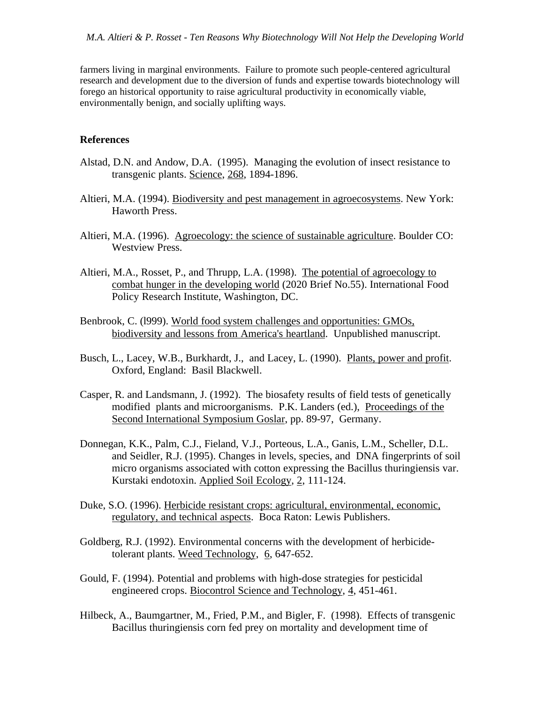farmers living in marginal environments. Failure to promote such people-centered agricultural research and development due to the diversion of funds and expertise towards biotechnology will forego an historical opportunity to raise agricultural productivity in economically viable, environmentally benign, and socially uplifting ways.

## **References**

- Alstad, D.N. and Andow, D.A. (1995). Managing the evolution of insect resistance to transgenic plants. Science, 268, 1894-1896.
- Altieri, M.A. (1994). Biodiversity and pest management in agroecosystems. New York: Haworth Press.
- Altieri, M.A. (1996). Agroecology: the science of sustainable agriculture. Boulder CO: Westview Press.
- Altieri, M.A., Rosset, P., and Thrupp, L.A. (1998). The potential of agroecology to combat hunger in the developing world (2020 Brief No.55). International Food Policy Research Institute, Washington, DC.
- Benbrook, C. (l999). World food system challenges and opportunities: GMOs, biodiversity and lessons from America's heartland. Unpublished manuscript.
- Busch, L., Lacey, W.B., Burkhardt, J., and Lacey, L. (1990). Plants, power and profit. Oxford, England: Basil Blackwell.
- Casper, R. and Landsmann, J. (1992). The biosafety results of field tests of genetically modified plants and microorganisms. P.K. Landers (ed.), Proceedings of the Second International Symposium Goslar, pp. 89-97, Germany.
- Donnegan, K.K., Palm, C.J., Fieland, V.J., Porteous, L.A., Ganis, L.M., Scheller, D.L. and Seidler, R.J. (1995). Changes in levels, species, and DNA fingerprints of soil micro organisms associated with cotton expressing the Bacillus thuringiensis var. Kurstaki endotoxin. Applied Soil Ecology, 2, 111-124.
- Duke, S.O. (1996). Herbicide resistant crops: agricultural, environmental, economic, regulatory, and technical aspects. Boca Raton: Lewis Publishers.
- Goldberg, R.J. (1992). Environmental concerns with the development of herbicidetolerant plants. Weed Technology, 6, 647-652.
- Gould, F. (1994). Potential and problems with high-dose strategies for pesticidal engineered crops. Biocontrol Science and Technology, 4, 451-461.
- Hilbeck, A., Baumgartner, M., Fried, P.M., and Bigler, F. (1998). Effects of transgenic Bacillus thuringiensis corn fed prey on mortality and development time of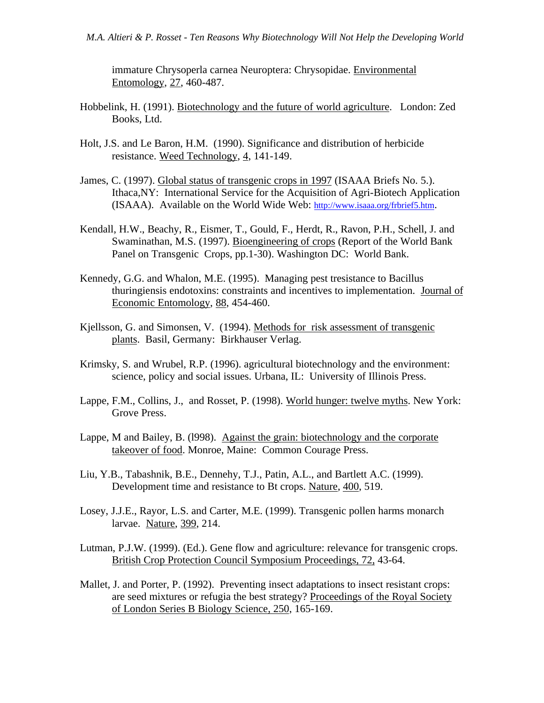immature Chrysoperla carnea Neuroptera: Chrysopidae. Environmental Entomology, 27, 460-487.

- Hobbelink, H. (1991). Biotechnology and the future of world agriculture. London: Zed Books, Ltd.
- Holt, J.S. and Le Baron, H.M. (1990). Significance and distribution of herbicide resistance. Weed Technology, 4, 141-149.
- James, C. (1997). Global status of transgenic crops in 1997 (ISAAA Briefs No. 5.). Ithaca,NY: International Service for the Acquisition of Agri-Biotech Application (ISAAA). Available on the World Wide Web: http://www.isaaa.org/frbrief5.htm.
- Kendall, H.W., Beachy, R., Eismer, T., Gould, F., Herdt, R., Ravon, P.H., Schell, J. and Swaminathan, M.S. (1997). Bioengineering of crops (Report of the World Bank Panel on Transgenic Crops, pp.1-30). Washington DC: World Bank.
- Kennedy, G.G. and Whalon, M.E. (1995). Managing pest tresistance to Bacillus thuringiensis endotoxins: constraints and incentives to implementation. Journal of Economic Entomology, 88, 454-460.
- Kjellsson, G. and Simonsen, V. (1994). Methods for risk assessment of transgenic plants. Basil, Germany: Birkhauser Verlag.
- Krimsky, S. and Wrubel, R.P. (1996). agricultural biotechnology and the environment: science, policy and social issues. Urbana, IL: University of Illinois Press.
- Lappe, F.M., Collins, J., and Rosset, P. (1998). World hunger: twelve myths. New York: Grove Press.
- Lappe, M and Bailey, B. (l998). Against the grain: biotechnology and the corporate takeover of food. Monroe, Maine: Common Courage Press.
- Liu, Y.B., Tabashnik, B.E., Dennehy, T.J., Patin, A.L., and Bartlett A.C. (1999). Development time and resistance to Bt crops. Nature, 400, 519.
- Losey, J.J.E., Rayor, L.S. and Carter, M.E. (1999). Transgenic pollen harms monarch larvae. Nature, 399, 214.
- Lutman, P.J.W. (1999). (Ed.). Gene flow and agriculture: relevance for transgenic crops. British Crop Protection Council Symposium Proceedings, 72, 43-64.
- Mallet, J. and Porter, P. (1992). Preventing insect adaptations to insect resistant crops: are seed mixtures or refugia the best strategy? Proceedings of the Royal Society of London Series B Biology Science, 250, 165-169.